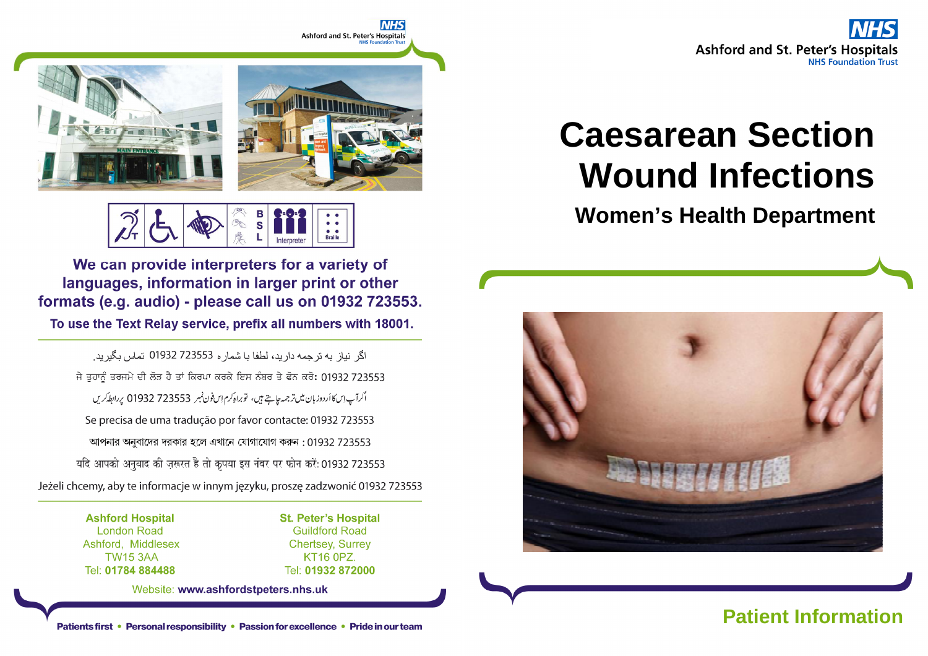



**Braille** 

We can provide interpreters for a variety of languages, information in larger print or other formats (e.g. audio) - please call us on 01932 723553.

To use the Text Relay service, prefix all numbers with 18001.

اگر نباز به تر جمه دار بد، لطفا با شمار ه 723553 01932 تماس بگیر بد. ਜੇ ਤੁਹਾਨੂੰ ਤਰਜਮੇ ਦੀ ਲੋੜ ਹੈ ਤਾਂ ਕਿਰਪਾ ਕਰਕੇ ਇਸ ਨੰਬਰ ਤੇ ਫੋਨ ਕਰੋ: 01932 723553 اگرآپ اِسكا أردوز بان ميں تر جمہ جاجتے ہيں، توبراہ كرم اِس فون نمبر 723553 01932 پر ابط كريں Se precisa de uma tradução por favor contacte: 01932 723553 আপনার অনুবাদের দরকার হলে এখানে যোগাযোগ করুন : 01932 723553 यदि आपको अनुवाद की ज़रूरत है तो कृपया इस नंबर पर फोन करें: 01932 723553 Jeżeli chcemy, aby te informacje w innym języku, proszę zadzwonić 01932 723553

> **Ashford Hospital London Road** Ashford, Middlesex **TW15 3AA** Tel: 01784 884488

**St. Peter's Hospital Guildford Road Chertsey, Surrey** KT16 0PZ. Tel: 01932 872000

Website: www.ashfordstpeters.nhs.uk

# **Caesarean Section Wound Infections**

**Women's Health Department** 

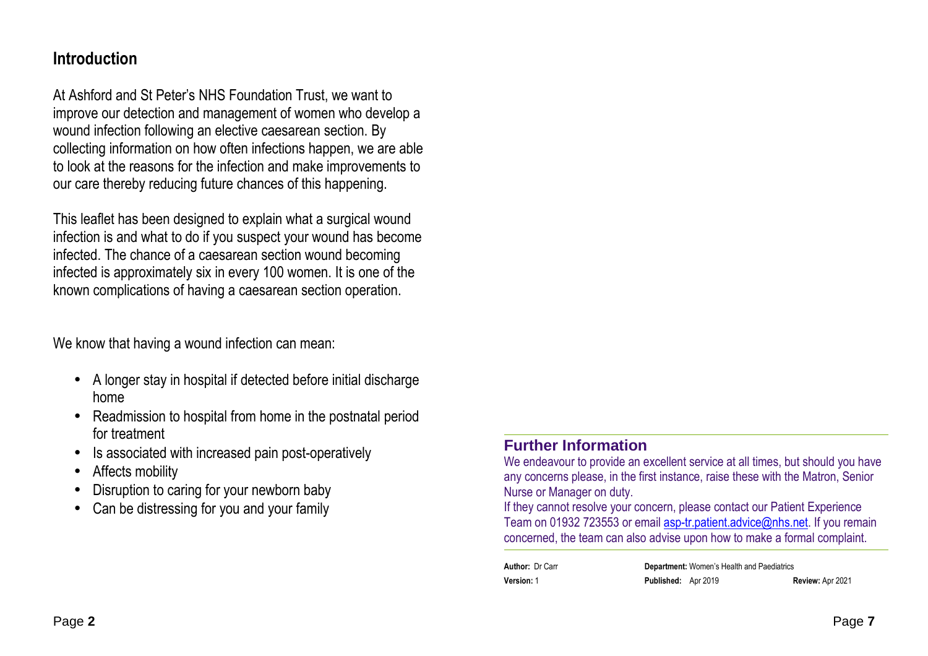### **Introduction**

At Ashford and St Peter's NHS Foundation Trust, we want to improve our detection and management of women who develop a wound infection following an elective caesarean section. By collecting information on how often infections happen, we are able to look at the reasons for the infection and make improvements to our care thereby reducing future chances of this happening.

This leaflet has been designed to explain what a surgical wound infection is and what to do if you suspect your wound has become infected. The chance of a caesarean section wound becoming infected is approximately six in every 100 women. It is one of the known complications of having a caesarean section operation.

We know that having a wound infection can mean:

- A longer stay in hospital if detected before initial discharge home
- Readmission to hospital from home in the postnatal period for treatment
- •Is associated with increased pain post-operatively
- •Affects mobility
- •Disruption to caring for your newborn baby
- •Can be distressing for you and your family

#### **Further Information**

 We endeavour to provide an excellent service at all times, but should you have any concerns please, in the first instance, raise these with the Matron, Senior Nurse or Manager on duty.

 If they cannot resolve your concern, please contact our Patient Experience Team on 01932 723553 or email **asp-tr.patient.advice@nhs.net**. If you remain concerned, the team can also advise upon how to make a formal complaint.

| <b>Author: Dr Carr</b> |                            | <b>Department:</b> Women's Health and Paediatrics |                  |
|------------------------|----------------------------|---------------------------------------------------|------------------|
| <b>Version: 1</b>      | <b>Published:</b> Apr 2019 |                                                   | Review: Apr 2021 |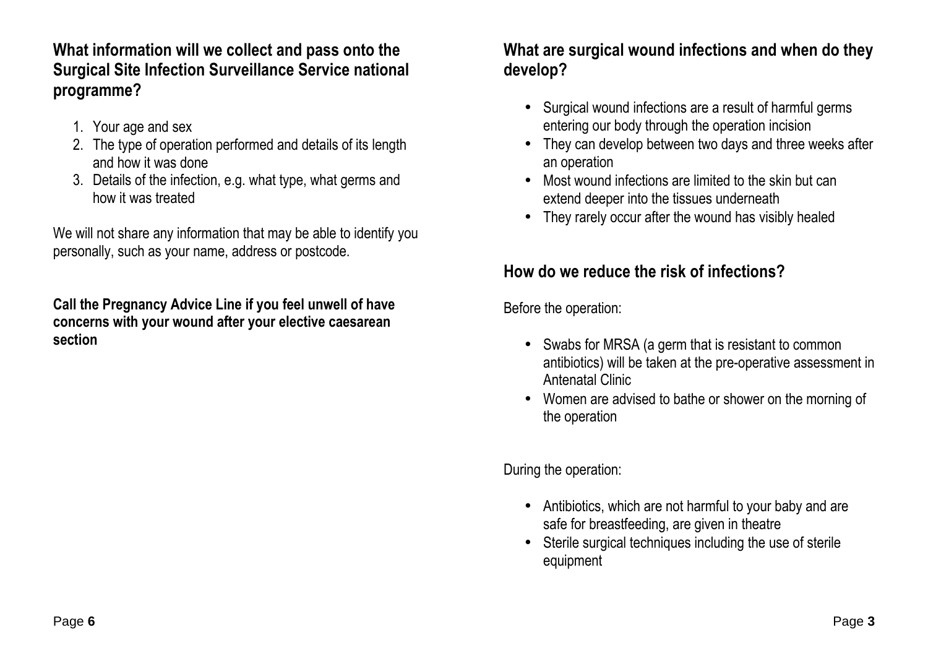**What information will we collect and pass onto the Surgical Site Infection Surveillance Service national programme?** 

- 1. Your age and sex
- 2. The type of operation performed and details of its length and how it was done
- 3. Details of the infection, e.g. what type, what germs and how it was treated

We will not share any information that may be able to identify you personally, such as your name, address or postcode.

**Call the Pregnancy Advice Line if you feel unwell of have concerns with your wound after your elective caesarean section**

### **What are surgical wound infections and when do theydevelop?**

- Surgical wound infections are a result of harmful germs entering our body through the operation incision
- They can develop between two days and three weeks after an operation
- Most wound infections are limited to the skin but can extend deeper into the tissues underneath
- They rarely occur after the wound has visibly healed

# **How do we reduce the risk of infections?**

Before the operation:

- Swabs for MRSA (a germ that is resistant to common antibiotics) will be taken at the pre-operative assessment in Antenatal Clinic
- Women are advised to bathe or shower on the morning of the operation

During the operation:

- Antibiotics, which are not harmful to your baby and are safe for breastfeeding, are given in theatre
- Sterile surgical techniques including the use of sterile equipment